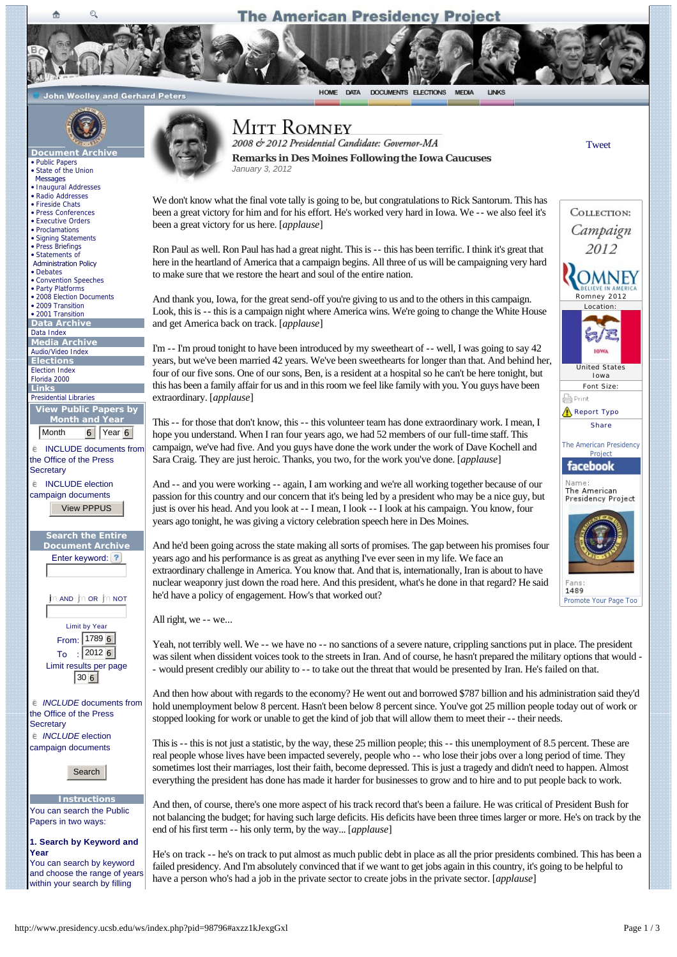## **The American Presidency Project**

DOCUMENTS ELECTIONS

MEDIA

LINKS

**John Woolley and Gerhard Peters** 



Ō

**Document** • [Public Papers](http://www.presidency.ucsb.edu/ws)

- [State of the Union](http://www.presidency.ucsb.edu/sou.php)
- **Messages**
- [Inaugural Addresses](http://www.presidency.ucsb.edu/inaugurals.php) • [Radio Addresses](http://www.presidency.ucsb.edu/satradio.php)
- [Fireside Chats](http://www.presidency.ucsb.edu/fireside.php)
- [Press Conferences](http://www.presidency.ucsb.edu/news_conferences.php)
- [Executive Orders](http://www.presidency.ucsb.edu/executive_orders.php)
- [Proclamations](http://www.presidency.ucsb.edu/proclamations.php)
- [Signing Statements](http://www.presidency.ucsb.edu/signingstatements.php)
- [Press Briefings](http://www.presidency.ucsb.edu/press_briefings.php)  • Statements of
- [Administration Policy](http://www.presidency.ucsb.edu/saps.php)
- [Debates](http://www.presidency.ucsb.edu/debates.php)
- [Convention Speeches](http://www.presidency.ucsb.edu/nomination.php)
- [Party Platforms](http://www.presidency.ucsb.edu/platforms.php)
- [2008 Election Documents](http://www.presidency.ucsb.edu/2008_election.php)  • [2009 Transition](http://www.presidency.ucsb.edu/transition2009.php)
- [2001 Transition](http://www.presidency.ucsb.edu/transition2001.php)

Data **Archiv** 

[Data Index](http://www.presidency.ucsb.edu/data.php)

**Media Archiv** 

| Audio/Video Index |
|-------------------|
| Elections         |

[Election Index](http://www.presidency.ucsb.edu/elections.php)

|  | Florida 2000 |
|--|--------------|
|  |              |

| Links                        |
|------------------------------|
| Presidential Libraries       |
| <b>View Public Papers by</b> |
| <b>Month and Year</b>        |
|                              |

|                         | Month                    |  | $6$ Year $6$ |  |  |  |
|-------------------------|--------------------------|--|--------------|--|--|--|
|                         | ê INCLUDE documents from |  |              |  |  |  |
| the Office of the Press |                          |  |              |  |  |  |
|                         |                          |  |              |  |  |  |

**Secretary**  $é$  INCLUDE election

campaign documents View PPPUS

| <b>Search the Entire</b> |
|--------------------------|
| <b>Document Archive</b>  |
| Enter keyword: ?         |
|                          |

 $\mathbf i$ n and  $\mathbf j$ n or  $\mathbf i$ n not  $\mathbf i$ 

| <b>Limit by Year</b>   |                 |  |  |  |
|------------------------|-----------------|--|--|--|
|                        | From: 1789 6    |  |  |  |
| To                     | : 20126         |  |  |  |
| Limit results per page |                 |  |  |  |
|                        | 30 <sub>6</sub> |  |  |  |

 $\epsilon$  *INCLUDE* documents from the Office of the Press **Secretary**  $é$  *INCLUDE* election campaign documents

Search

**Instructions** You can search the Public Papers in two ways:

## **1. Search by Keyword and Year**

You can search by keyword and choose the range of years within your search by filling



## **MITT ROMNEY**

2008 & 2012 Presidential Candidate: Governor-MA **Remarks in Des Moines Following the Iowa Caucuses** *January 3, 2012*

HOME DATA

**[Tweet](https://twitter.com/share)** 

COLLECTION: Campaign 2012

Romney 2012 Location:

OMNEY

United States Iowa Font Size:

 $\mathop{\mathbb{B}}$  Print

We don't know what the final vote tally is going to be, but congratulations to Rick Santorum. This has been a great victory for him and for his effort. He's worked very hard in Iowa. We -- we also feel it's been a great victory for us here. [*applause*]

Ron Paul as well. Ron Paul has had a great night. This is -- this has been terrific. I think it's great that here in the heartland of America that a campaign begins. All three of us will be campaigning very hard to make sure that we restore the heart and soul of the entire nation.

And thank you, Iowa, for the great send-off you're giving to us and to the others in this campaign. Look, this is -- this is a campaign night where America wins. We're going to change the White House and get America back on track. [*applause*]

I'm -- I'm proud tonight to have been introduced by my sweetheart of -- well, I was going to say 42 years, but we've been married 42 years. We've been sweethearts for longer than that. And behind her, four of our five sons. One of our sons, Ben, is a resident at a hospital so he can't be here tonight, but this has been a family affair for us and in this room we feel like family with you. You guys have been extraordinary. [*applause*]

This -- for those that don't know, this -- this volunteer team has done extraordinary work. I mean, I hope you understand. When I ran four years ago, we had 52 members of our full-time staff. This campaign, we've had five. And you guys have done the work under the work of Dave Kochell and Sara Craig. They are just heroic. Thanks, you two, for the work you've done. [*applause*]

And -- and you were working -- again, I am working and we're all working together because of our passion for this country and our concern that it's being led by a president who may be a nice guy, but just is over his head. And you look at -- I mean, I look -- I look at his campaign. You know, four years ago tonight, he was giving a victory celebration speech here in Des Moines.

And he'd been going across the state making all sorts of promises. The gap between his promises four years ago and his performance is as great as anything I've ever seen in my life. We face an extraordinary challenge in America. You know that. And that is, internationally, Iran is about to have nuclear weaponry just down the road here. And this president, what's he done in that regard? He said he'd have a policy of engagement. How's that worked out?

All right, we -- we...

Yeah, not terribly well. We -- we have no -- no sanctions of a severe nature, crippling sanctions put in place. The president was silent when dissident voices took to the streets in Iran. And of course, he hasn't prepared the military options that would - - would present credibly our ability to -- to take out the threat that would be presented by Iran. He's failed on that.

And then how about with regards to the economy? He went out and borrowed \$787 billion and his administration said they'd hold unemployment below 8 percent. Hasn't been below 8 percent since. You've got 25 million people today out of work or stopped looking for work or unable to get the kind of job that will allow them to meet their -- their needs.

This is -- this is not just a statistic, by the way, these 25 million people; this -- this unemployment of 8.5 percent. These are real people whose lives have been impacted severely, people who -- who lose their jobs over a long period of time. They sometimes lost their marriages, lost their faith, become depressed. This is just a tragedy and didn't need to happen. Almost everything the president has done has made it harder for businesses to grow and to hire and to put people back to work.

And then, of course, there's one more aspect of his track record that's been a failure. He was critical of President Bush for not balancing the budget; for having such large deficits. His deficits have been three times larger or more. He's on track by the end of his first term -- his only term, by the way... [*applause*]

He's on track -- he's on track to put almost as much public debt in place as all the prior presidents combined. This has been a failed presidency. And I'm absolutely convinced that if we want to get jobs again in this country, it's going to be helpful to have a person who's had a job in the private sector to create jobs in the private sector. [*applause*]



[Promote Your Page Too](http://www.facebook.com/business/dashboard/)

1489

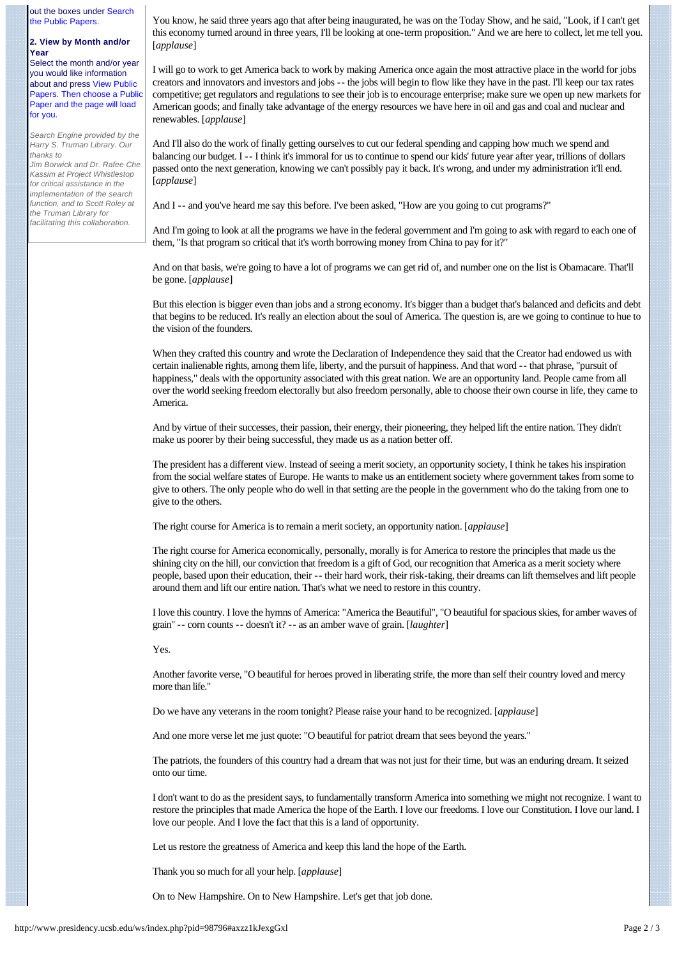out the boxes under Search the Public Papers.

## **2. View by Month and/or Year**

Select the month and/or year you would like information about and press View Public Papers. Then choose a Public Paper and the page will load for you.

*Search Engine provided by the Harry S. Truman Library. Our thanks to* 

*Jim Borwick and Dr. Rafee Che Kassim at Project Whistlestop for critical assistance in the implementation of the search function, and to Scott Roley at the Truman Library for facilitating this collaboration.*

You know, he said three years ago that after being inaugurated, he was on the Today Show, and he said, "Look, if I can't get this economy turned around in three years, I'll be looking at one-term proposition." And we are here to collect, let me tell you. [*applause*]

I will go to work to get America back to work by making America once again the most attractive place in the world for jobs creators and innovators and investors and jobs -- the jobs will begin to flow like they have in the past. I'll keep our tax rates competitive; get regulators and regulations to see their job is to encourage enterprise; make sure we open up new markets for American goods; and finally take advantage of the energy resources we have here in oil and gas and coal and nuclear and renewables. [*applause*]

And I'll also do the work of finally getting ourselves to cut our federal spending and capping how much we spend and balancing our budget. I -- I think it's immoral for us to continue to spend our kids' future year after year, trillions of dollars passed onto the next generation, knowing we can't possibly pay it back. It's wrong, and under my administration it'll end. [*applause*]

And I -- and you've heard me say this before. I've been asked, "How are you going to cut programs?"

And I'm going to look at all the programs we have in the federal government and I'm going to ask with regard to each one of them, "Is that program so critical that it's worth borrowing money from China to pay for it?"

And on that basis, we're going to have a lot of programs we can get rid of, and number one on the list is Obamacare. That'll be gone. [*applause*]

But this election is bigger even than jobs and a strong economy. It's bigger than a budget that's balanced and deficits and debt that begins to be reduced. It's really an election about the soul of America. The question is, are we going to continue to hue to the vision of the founders.

When they crafted this country and wrote the Declaration of Independence they said that the Creator had endowed us with certain inalienable rights, among them life, liberty, and the pursuit of happiness. And that word -- that phrase, "pursuit of happiness," deals with the opportunity associated with this great nation. We are an opportunity land. People came from all over the world seeking freedom electorally but also freedom personally, able to choose their own course in life, they came to America.

And by virtue of their successes, their passion, their energy, their pioneering, they helped lift the entire nation. They didn't make us poorer by their being successful, they made us as a nation better off.

The president has a different view. Instead of seeing a merit society, an opportunity society, I think he takes his inspiration from the social welfare states of Europe. He wants to make us an entitlement society where government takes from some to give to others. The only people who do well in that setting are the people in the government who do the taking from one to give to the others.

The right course for America is to remain a merit society, an opportunity nation. [*applause*]

The right course for America economically, personally, morally is for America to restore the principles that made us the shining city on the hill, our conviction that freedom is a gift of God, our recognition that America as a merit society where people, based upon their education, their -- their hard work, their risk-taking, their dreams can lift themselves and lift people around them and lift our entire nation. That's what we need to restore in this country.

I love this country. I love the hymns of America: "America the Beautiful", "O beautiful for spacious skies, for amber waves of grain" -- corn counts -- doesn't it? -- as an amber wave of grain. [*laughter*]

Yes.

Another favorite verse, "O beautiful for heroes proved in liberating strife, the more than self their country loved and mercy more than life."

Do we have any veterans in the room tonight? Please raise your hand to be recognized. [*applause*]

And one more verse let me just quote: "O beautiful for patriot dream that sees beyond the years."

The patriots, the founders of this country had a dream that was not just for their time, but was an enduring dream. It seized onto our time.

I don't want to do as the president says, to fundamentally transform America into something we might not recognize. I want to restore the principles that made America the hope of the Earth. I love our freedoms. I love our Constitution. I love our land. I love our people. And I love the fact that this is a land of opportunity.

Let us restore the greatness of America and keep this land the hope of the Earth.

Thank you so much for all your help. [*applause*]

On to New Hampshire. On to New Hampshire. Let's get that job done.